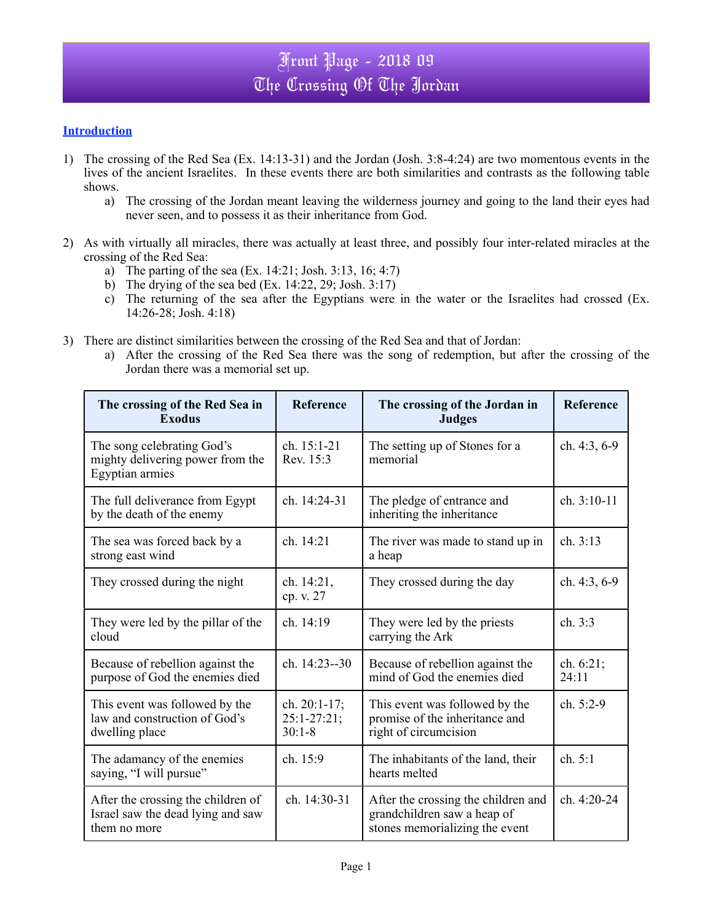#### **Introduction**

- 1) The crossing of the Red Sea (Ex. 14:13-31) and the Jordan (Josh. 3:8-4:24) are two momentous events in the lives of the ancient Israelites. In these events there are both similarities and contrasts as the following table shows.
	- a) The crossing of the Jordan meant leaving the wilderness journey and going to the land their eyes had never seen, and to possess it as their inheritance from God.
- 2) As with virtually all miracles, there was actually at least three, and possibly four inter-related miracles at the crossing of the Red Sea:
	- a) The parting of the sea (Ex. 14:21; Josh. 3:13, 16; 4:7)
	- b) The drying of the sea bed (Ex. 14:22, 29; Josh. 3:17)
	- c) The returning of the sea after the Egyptians were in the water or the Israelites had crossed (Ex. 14:26-28; Josh. 4:18)
- 3) There are distinct similarities between the crossing of the Red Sea and that of Jordan:
	- a) After the crossing of the Red Sea there was the song of redemption, but after the crossing of the Jordan there was a memorial set up.

| The crossing of the Red Sea in<br><b>Exodus</b>                                         | <b>Reference</b>                              | The crossing of the Jordan in<br><b>Judges</b>                                                       | <b>Reference</b>      |
|-----------------------------------------------------------------------------------------|-----------------------------------------------|------------------------------------------------------------------------------------------------------|-----------------------|
| The song celebrating God's<br>mighty delivering power from the<br>Egyptian armies       | ch. 15:1-21<br>Rev. 15:3                      | The setting up of Stones for a<br>memorial                                                           | ch. 4:3, 6-9          |
| The full deliverance from Egypt<br>by the death of the enemy                            | ch. 14:24-31                                  | The pledge of entrance and<br>inheriting the inheritance                                             | ch. 3:10-11           |
| The sea was forced back by a<br>strong east wind                                        | ch. 14:21                                     | The river was made to stand up in<br>a heap                                                          | ch. 3:13              |
| They crossed during the night                                                           | ch. 14:21,<br>cp. v. 27                       | They crossed during the day                                                                          | ch. 4:3, 6-9          |
| They were led by the pillar of the<br>cloud                                             | ch. 14:19                                     | They were led by the priests<br>carrying the Ark                                                     | ch. 3:3               |
| Because of rebellion against the<br>purpose of God the enemies died                     | ch. 14:23--30                                 | Because of rebellion against the<br>mind of God the enemies died                                     | ch. $6:21$ ;<br>24:11 |
| This event was followed by the<br>law and construction of God's<br>dwelling place       | ch. 20:1-17;<br>$25:1 - 27:21;$<br>$30:1 - 8$ | This event was followed by the<br>promise of the inheritance and<br>right of circumcision            | ch. 5:2-9             |
| The adamancy of the enemies<br>saying, "I will pursue"                                  | ch. 15:9                                      | The inhabitants of the land, their<br>hearts melted                                                  | ch. 5:1               |
| After the crossing the children of<br>Israel saw the dead lying and saw<br>them no more | ch. 14:30-31                                  | After the crossing the children and<br>grandchildren saw a heap of<br>stones memorializing the event | ch. 4:20-24           |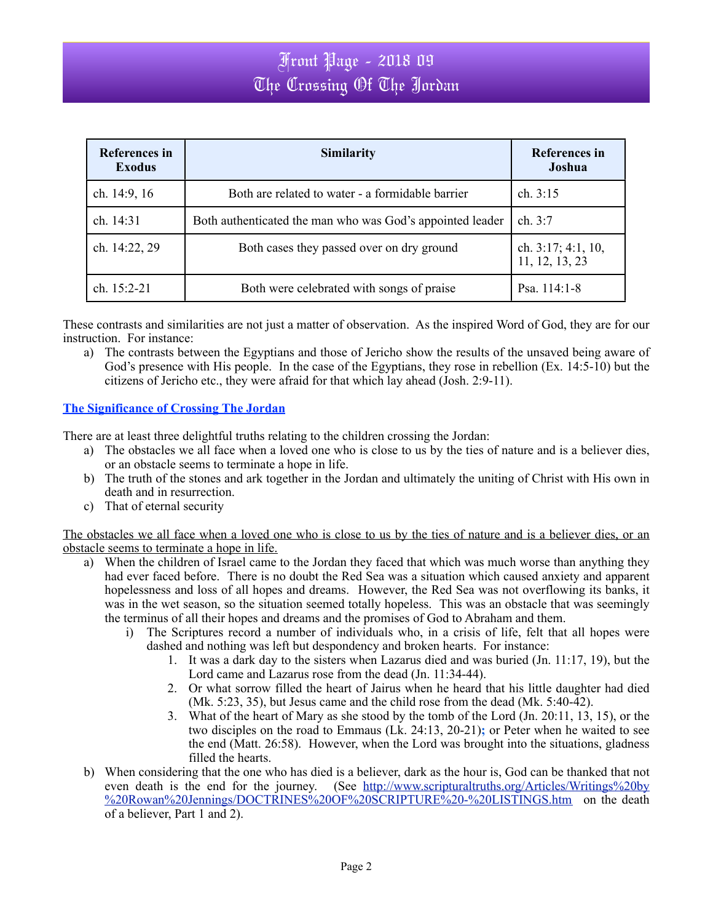## Front Page - 2018 09 The Crossing Of The Jordan

| <b>References</b> in<br><b>Exodus</b> | <b>Similarity</b>                                         | <b>References</b> in<br>Joshua          |
|---------------------------------------|-----------------------------------------------------------|-----------------------------------------|
| ch. 14:9, 16                          | Both are related to water - a formidable barrier          | ch. 3:15                                |
| ch. 14:31                             | Both authenticated the man who was God's appointed leader | ch. 3:7                                 |
| ch. 14:22, 29                         | Both cases they passed over on dry ground                 | ch. $3:17; 4:1, 10$ ,<br>11, 12, 13, 23 |
| ch. $15:2-21$                         | Both were celebrated with songs of praise                 | Psa. $114:1-8$                          |

These contrasts and similarities are not just a matter of observation. As the inspired Word of God, they are for our instruction. For instance:

a) The contrasts between the Egyptians and those of Jericho show the results of the unsaved being aware of God's presence with His people. In the case of the Egyptians, they rose in rebellion (Ex. 14:5-10) but the citizens of Jericho etc., they were afraid for that which lay ahead (Josh. 2:9-11).

#### **The Significance of Crossing The Jordan**

There are at least three delightful truths relating to the children crossing the Jordan:

- a) The obstacles we all face when a loved one who is close to us by the ties of nature and is a believer dies, or an obstacle seems to terminate a hope in life.
- b) The truth of the stones and ark together in the Jordan and ultimately the uniting of Christ with His own in death and in resurrection.
- c) That of eternal security

The obstacles we all face when a loved one who is close to us by the ties of nature and is a believer dies, or an obstacle seems to terminate a hope in life.

- a) When the children of Israel came to the Jordan they faced that which was much worse than anything they had ever faced before. There is no doubt the Red Sea was a situation which caused anxiety and apparent hopelessness and loss of all hopes and dreams. However, the Red Sea was not overflowing its banks, it was in the wet season, so the situation seemed totally hopeless. This was an obstacle that was seemingly the terminus of all their hopes and dreams and the promises of God to Abraham and them.
	- i) The Scriptures record a number of individuals who, in a crisis of life, felt that all hopes were dashed and nothing was left but despondency and broken hearts. For instance:
		- 1. It was a dark day to the sisters when Lazarus died and was buried (Jn. 11:17, 19), but the Lord came and Lazarus rose from the dead (Jn. 11:34-44).
		- 2. Or what sorrow filled the heart of Jairus when he heard that his little daughter had died (Mk. 5:23, 35), but Jesus came and the child rose from the dead (Mk. 5:40-42).
		- 3. What of the heart of Mary as she stood by the tomb of the Lord (Jn. 20:11, 13, 15), or the two disciples on the road to Emmaus (Lk. 24:13, 20-21)**;** or Peter when he waited to see the end (Matt. 26:58). However, when the Lord was brought into the situations, gladness filled the hearts.
- b) When considering that the one who has died is a believer, dark as the hour is, God can be thanked that not even death is the end for the journey. (See [http://www.scripturaltruths.org/Articles/Writings%20by](http://www.scripturaltruths.org/Articles/Writings%20by%20Rowan%20Jennings/DOCTRINES%20OF%20SCRIPTURE%20-%20LISTINGS.htm) [%20Rowan%20Jennings/DOCTRINES%20OF%20SCRIPTURE%20-%20LISTINGS.htm](http://www.scripturaltruths.org/Articles/Writings%20by%20Rowan%20Jennings/DOCTRINES%20OF%20SCRIPTURE%20-%20LISTINGS.htm) on the death of a believer, Part 1 and 2).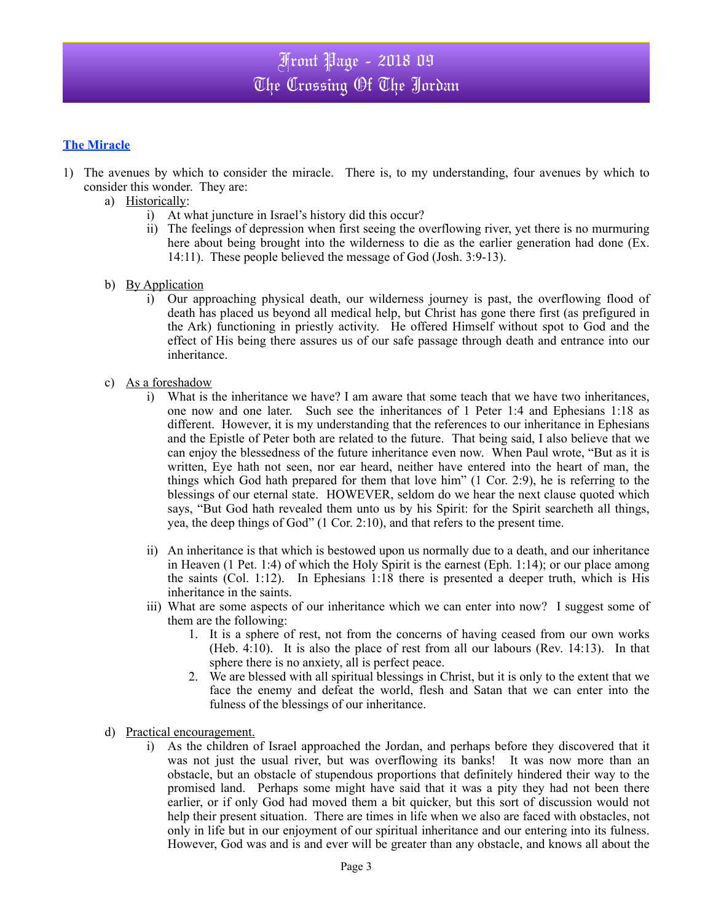### **The Miracle**

- 1) The avenues by which to consider the miracle. There is, to my understanding, four avenues by which to consider this wonder. They are:
	- a) Historically:
		- i) At what juncture in Israel's history did this occur?
		- ii) The feelings of depression when first seeing the overflowing river, yet there is no murmuring here about being brought into the wilderness to die as the earlier generation had done (Ex. 14:11). These people believed the message of God (Josh. 3:9-13).
	- b) By Application
		- i) Our approaching physical death, our wilderness journey is past, the overflowing flood of death has placed us beyond all medical help, but Christ has gone there first (as prefigured in the Ark) functioning in priestly activity. He offered Himself without spot to God and the effect of His being there assures us of our safe passage through death and entrance into our inheritance.
	- c) As a foreshadow
		- i) What is the inheritance we have? I am aware that some teach that we have two inheritances, one now and one later. Such see the inheritances of 1 Peter 1:4 and Ephesians 1:18 as different. However, it is my understanding that the references to our inheritance in Ephesians and the Epistle of Peter both are related to the future. That being said, I also believe that we can enjoy the blessedness of the future inheritance even now. When Paul wrote, "But as it is written, Eye hath not seen, nor ear heard, neither have entered into the heart of man, the things which God hath prepared for them that love him" (1 Cor. 2:9), he is referring to the blessings of our eternal state. HOWEVER, seldom do we hear the next clause quoted which says, "But God hath revealed them unto us by his Spirit: for the Spirit searcheth all things, yea, the deep things of God" (1 Cor. 2:10), and that refers to the present time.
		- ii) An inheritance is that which is bestowed upon us normally due to a death, and our inheritance in Heaven (1 Pet. 1:4) of which the Holy Spirit is the earnest (Eph. 1:14); or our place among the saints (Col. 1:12). In Ephesians 1:18 there is presented a deeper truth, which is His inheritance in the saints.
		- iii) What are some aspects of our inheritance which we can enter into now? I suggest some of them are the following:
			- 1. It is a sphere of rest, not from the concerns of having ceased from our own works (Heb. 4:10). It is also the place of rest from all our labours (Rev. 14:13). In that sphere there is no anxiety, all is perfect peace.
			- 2. We are blessed with all spiritual blessings in Christ, but it is only to the extent that we face the enemy and defeat the world, flesh and Satan that we can enter into the fulness of the blessings of our inheritance.
	- d) Practical encouragement.
		- i) As the children of Israel approached the Jordan, and perhaps before they discovered that it was not just the usual river, but was overflowing its banks! It was now more than an obstacle, but an obstacle of stupendous proportions that definitely hindered their way to the promised land. Perhaps some might have said that it was a pity they had not been there earlier, or if only God had moved them a bit quicker, but this sort of discussion would not help their present situation. There are times in life when we also are faced with obstacles, not only in life but in our enjoyment of our spiritual inheritance and our entering into its fulness. However, God was and is and ever will be greater than any obstacle, and knows all about the